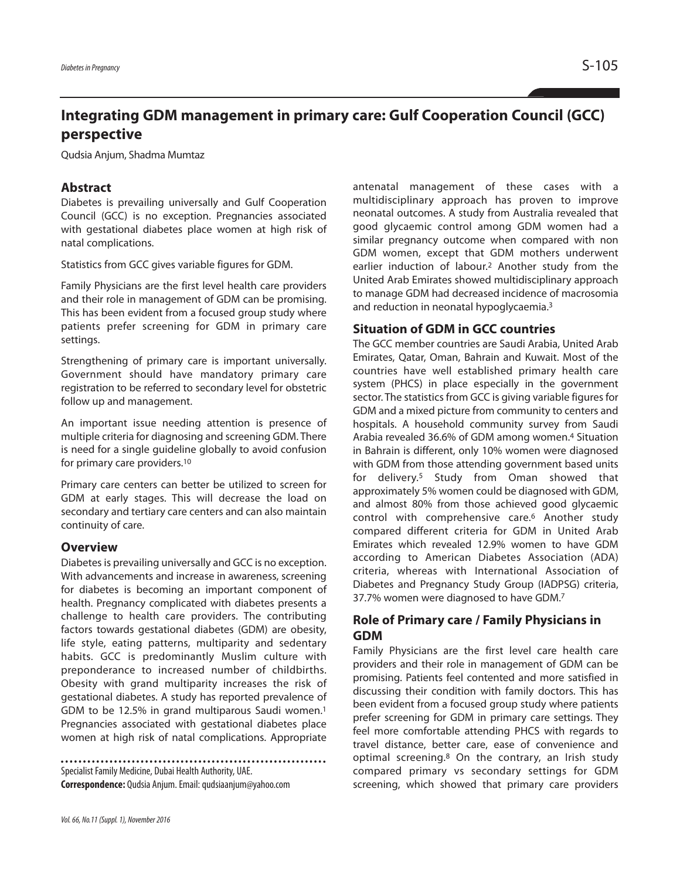# **Integrating GDM management in primary care: Gulf Cooperation Council (GCC) perspective**

Qudsia Anjum, Shadma Mumtaz

## **Abstract**

Diabetes is prevailing universally and Gulf Cooperation Council (GCC) is no exception. Pregnancies associated with gestational diabetes place women at high risk of natal complications.

Statistics from GCC gives variable figures for GDM.

Family Physicians are the first level health care providers and their role in management of GDM can be promising. This has been evident from a focused group study where patients prefer screening for GDM in primary care settings.

Strengthening of primary care is important universally. Government should have mandatory primary care registration to be referred to secondary level for obstetric follow up and management.

An important issue needing attention is presence of multiple criteria for diagnosing and screening GDM. There is need for a single guideline globally to avoid confusion for primary care providers. 10

Primary care centers can better be utilized to screen for GDM at early stages. This will decrease the load on secondary and tertiary care centers and can also maintain continuity of care.

#### **Overview**

Diabetes is prevailing universally and GCC is no exception. With advancements and increase in awareness, screening for diabetes is becoming an important component of health. Pregnancy complicated with diabetes presents a challenge to health care providers. The contributing factors towards gestational diabetes (GDM) are obesity, life style, eating patterns, multiparity and sedentary habits. GCC is predominantly Muslim culture with preponderance to increased number of childbirths. Obesity with grand multiparity increases the risk of gestational diabetes. A study has reported prevalence of GDM to be 12.5% in grand multiparous Saudi women. 1 Pregnancies associated with gestational diabetes place women at high risk of natal complications. Appropriate

Specialist Family Medicine, Dubai Health Authority, UAE. **Correspondence:** Qudsia Anjum.Email:qudsiaanjum@yahoo.com

*Vol.66, No.11(Suppl.1), November2016*

antenatal management of these cases with a multidisciplinary approach has proven to improve neonatal outcomes. A study from Australia revealed that good glycaemic control among GDM women had a similar pregnancy outcome when compared with non GDM women, except that GDM mothers underwent earlier induction of labour. <sup>2</sup> Another study from the United Arab Emirates showed multidisciplinary approach to manage GDM had decreased incidence of macrosomia and reduction in neonatal hypoglycaemia. 3

## **Situation of GDM in GCC countries**

The GCC member countries are Saudi Arabia, United Arab Emirates, Qatar, Oman, Bahrain and Kuwait. Most of the countries have well established primary health care system (PHCS) in place especially in the government sector. The statistics from GCC is giving variable figures for GDM and a mixed picture from community to centers and hospitals. A household community survey from Saudi Arabia revealed 36.6% of GDM among women. <sup>4</sup> Situation in Bahrain is different, only 10% women were diagnosed with GDM from those attending government based units for delivery. <sup>5</sup> Study from Oman showed that approximately 5% women could be diagnosed with GDM, and almost 80% from those achieved good glycaemic control with comprehensive care. <sup>6</sup> Another study compared different criteria for GDM in United Arab Emirates which revealed 12.9% women to have GDM according to American Diabetes Association (ADA) criteria, whereas with International Association of Diabetes and Pregnancy Study Group (IADPSG) criteria, 37.7% women were diagnosed to have GDM. 7

## **Role of Primary care / Family Physicians in GDM**

Family Physicians are the first level care health care providers and their role in management of GDM can be promising. Patients feel contented and more satisfied in discussing their condition with family doctors. This has been evident from a focused group study where patients prefer screening for GDM in primary care settings. They feel more comfortable attending PHCS with regards to travel distance, better care, ease of convenience and optimal screening. <sup>8</sup> On the contrary, an Irish study compared primary vs secondary settings for GDM screening, which showed that primary care providers